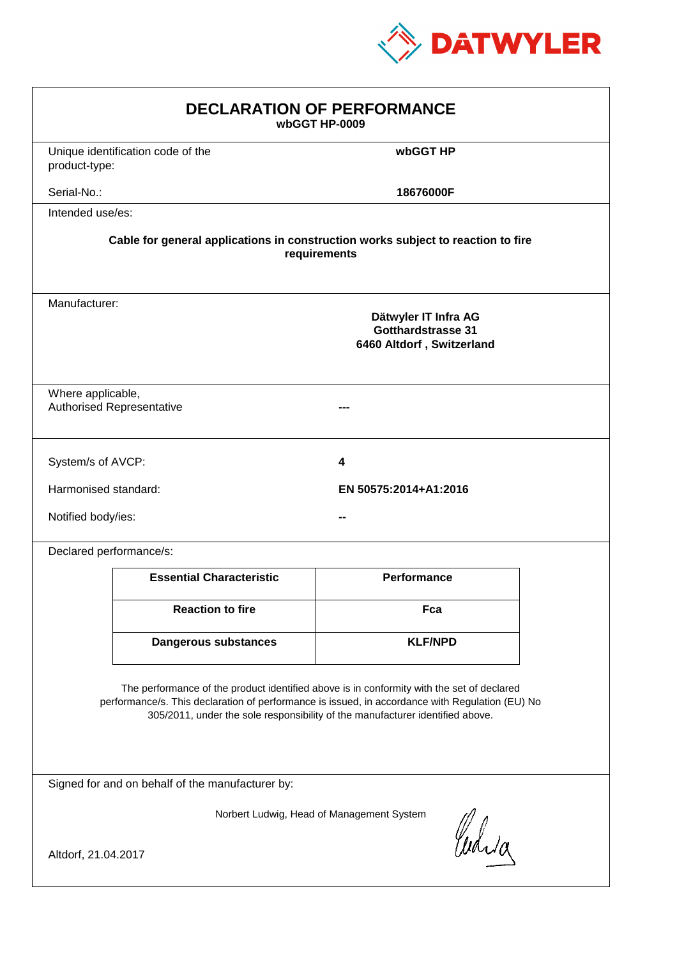

| <b>DECLARATION OF PERFORMANCE</b><br>wbGGT HP-0009                                                                                                                                                                                                                            |                                 |                                                                         |  |  |
|-------------------------------------------------------------------------------------------------------------------------------------------------------------------------------------------------------------------------------------------------------------------------------|---------------------------------|-------------------------------------------------------------------------|--|--|
| Unique identification code of the<br>product-type:                                                                                                                                                                                                                            |                                 | wbGGT HP                                                                |  |  |
| Serial-No.:                                                                                                                                                                                                                                                                   |                                 | 18676000F                                                               |  |  |
| Intended use/es:                                                                                                                                                                                                                                                              |                                 |                                                                         |  |  |
| Cable for general applications in construction works subject to reaction to fire<br>requirements                                                                                                                                                                              |                                 |                                                                         |  |  |
| Manufacturer:                                                                                                                                                                                                                                                                 |                                 | Dätwyler IT Infra AG<br>Gotthardstrasse 31<br>6460 Altdorf, Switzerland |  |  |
| Where applicable,<br><b>Authorised Representative</b>                                                                                                                                                                                                                         |                                 |                                                                         |  |  |
| System/s of AVCP:                                                                                                                                                                                                                                                             |                                 | 4                                                                       |  |  |
| Harmonised standard:                                                                                                                                                                                                                                                          |                                 | EN 50575:2014+A1:2016                                                   |  |  |
| Notified body/ies:                                                                                                                                                                                                                                                            |                                 |                                                                         |  |  |
| Declared performance/s:                                                                                                                                                                                                                                                       |                                 |                                                                         |  |  |
|                                                                                                                                                                                                                                                                               | <b>Essential Characteristic</b> | <b>Performance</b>                                                      |  |  |
|                                                                                                                                                                                                                                                                               | <b>Reaction to fire</b>         | Fca                                                                     |  |  |
|                                                                                                                                                                                                                                                                               | <b>Dangerous substances</b>     | <b>KLF/NPD</b>                                                          |  |  |
| The performance of the product identified above is in conformity with the set of declared<br>performance/s. This declaration of performance is issued, in accordance with Regulation (EU) No<br>305/2011, under the sole responsibility of the manufacturer identified above. |                                 |                                                                         |  |  |
| Signed for and on behalf of the manufacturer by:                                                                                                                                                                                                                              |                                 |                                                                         |  |  |
| Norbert Ludwig, Head of Management System<br>Curia<br>Altdorf, 21.04.2017                                                                                                                                                                                                     |                                 |                                                                         |  |  |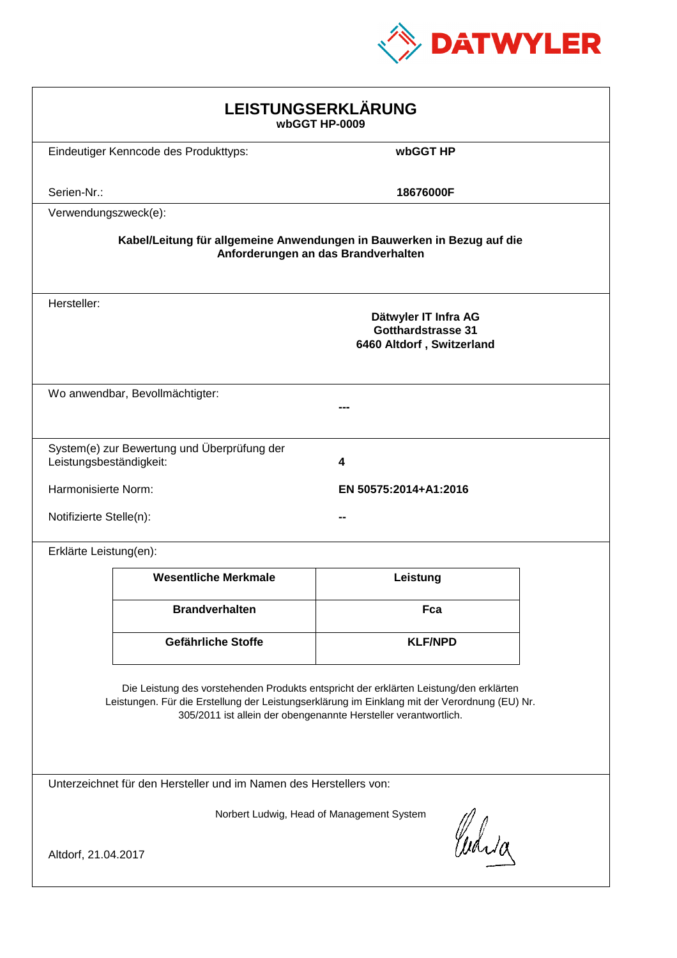

| LEISTUNGSERKLÄRUNG<br>wbGGT HP-0009                                                                                                                                                                                                                        |                                                                        |                                                                                |  |  |
|------------------------------------------------------------------------------------------------------------------------------------------------------------------------------------------------------------------------------------------------------------|------------------------------------------------------------------------|--------------------------------------------------------------------------------|--|--|
|                                                                                                                                                                                                                                                            | Eindeutiger Kenncode des Produkttyps:                                  | wbGGT HP                                                                       |  |  |
| Serien-Nr.:                                                                                                                                                                                                                                                |                                                                        | 18676000F                                                                      |  |  |
| Verwendungszweck(e):                                                                                                                                                                                                                                       |                                                                        |                                                                                |  |  |
|                                                                                                                                                                                                                                                            | Kabel/Leitung für allgemeine Anwendungen in Bauwerken in Bezug auf die | Anforderungen an das Brandverhalten                                            |  |  |
| Hersteller:                                                                                                                                                                                                                                                |                                                                        | Dätwyler IT Infra AG<br><b>Gotthardstrasse 31</b><br>6460 Altdorf, Switzerland |  |  |
|                                                                                                                                                                                                                                                            | Wo anwendbar, Bevollmächtigter:                                        |                                                                                |  |  |
| Leistungsbeständigkeit:                                                                                                                                                                                                                                    | System(e) zur Bewertung und Überprüfung der                            | 4                                                                              |  |  |
| Harmonisierte Norm:                                                                                                                                                                                                                                        |                                                                        | EN 50575:2014+A1:2016                                                          |  |  |
| Notifizierte Stelle(n):                                                                                                                                                                                                                                    |                                                                        |                                                                                |  |  |
| Erklärte Leistung(en):                                                                                                                                                                                                                                     |                                                                        |                                                                                |  |  |
|                                                                                                                                                                                                                                                            | <b>Wesentliche Merkmale</b>                                            | Leistung                                                                       |  |  |
|                                                                                                                                                                                                                                                            | <b>Brandverhalten</b>                                                  | Fca                                                                            |  |  |
|                                                                                                                                                                                                                                                            | Gefährliche Stoffe                                                     | <b>KLF/NPD</b>                                                                 |  |  |
| Die Leistung des vorstehenden Produkts entspricht der erklärten Leistung/den erklärten<br>Leistungen. Für die Erstellung der Leistungserklärung im Einklang mit der Verordnung (EU) Nr.<br>305/2011 ist allein der obengenannte Hersteller verantwortlich. |                                                                        |                                                                                |  |  |
| Unterzeichnet für den Hersteller und im Namen des Herstellers von:                                                                                                                                                                                         |                                                                        |                                                                                |  |  |
| Norbert Ludwig, Head of Management System<br>Curia                                                                                                                                                                                                         |                                                                        |                                                                                |  |  |
| Altdorf, 21.04.2017                                                                                                                                                                                                                                        |                                                                        |                                                                                |  |  |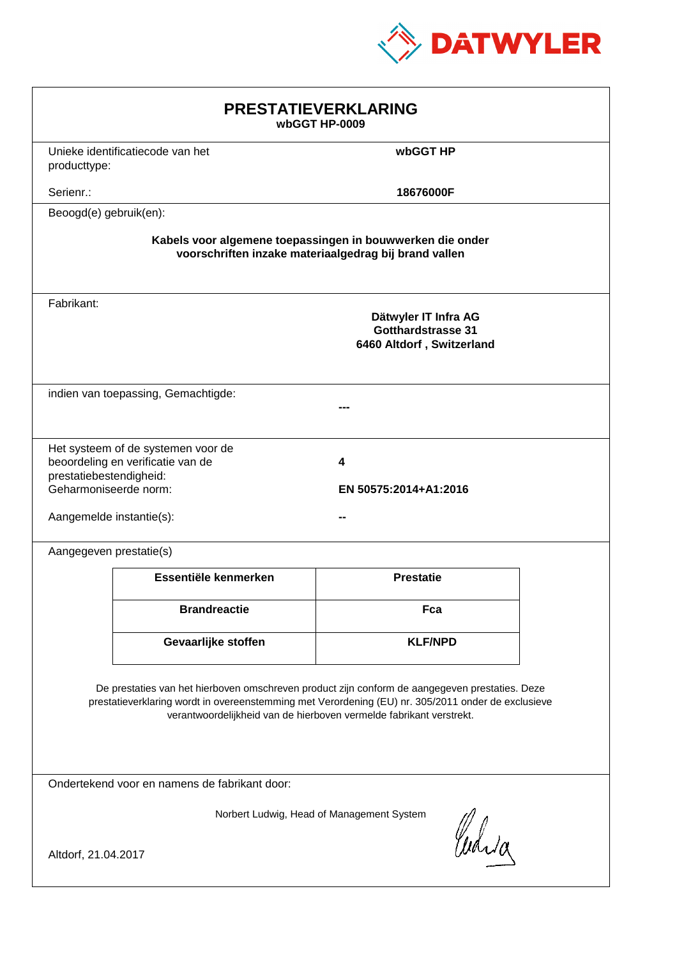

| <b>PRESTATIEVERKLARING</b><br>wbGGT HP-0009                                                                                                                                                                                                                                 |                                                                         |                                                                                |  |  |
|-----------------------------------------------------------------------------------------------------------------------------------------------------------------------------------------------------------------------------------------------------------------------------|-------------------------------------------------------------------------|--------------------------------------------------------------------------------|--|--|
| producttype:                                                                                                                                                                                                                                                                | Unieke identificatiecode van het                                        | wbGGT HP                                                                       |  |  |
| Serienr.:                                                                                                                                                                                                                                                                   |                                                                         | 18676000F                                                                      |  |  |
| Beoogd(e) gebruik(en):                                                                                                                                                                                                                                                      |                                                                         |                                                                                |  |  |
| Kabels voor algemene toepassingen in bouwwerken die onder<br>voorschriften inzake materiaalgedrag bij brand vallen                                                                                                                                                          |                                                                         |                                                                                |  |  |
| Fabrikant:                                                                                                                                                                                                                                                                  |                                                                         | Dätwyler IT Infra AG<br><b>Gotthardstrasse 31</b><br>6460 Altdorf, Switzerland |  |  |
|                                                                                                                                                                                                                                                                             | indien van toepassing, Gemachtigde:                                     |                                                                                |  |  |
| prestatiebestendigheid:<br>Geharmoniseerde norm:<br>Aangemelde instantie(s):                                                                                                                                                                                                | Het systeem of de systemen voor de<br>beoordeling en verificatie van de | 4<br>EN 50575:2014+A1:2016                                                     |  |  |
| Aangegeven prestatie(s)                                                                                                                                                                                                                                                     |                                                                         |                                                                                |  |  |
|                                                                                                                                                                                                                                                                             | Essentiële kenmerken                                                    | <b>Prestatie</b>                                                               |  |  |
|                                                                                                                                                                                                                                                                             | <b>Brandreactie</b>                                                     | Fca                                                                            |  |  |
|                                                                                                                                                                                                                                                                             | Gevaarlijke stoffen                                                     | <b>KLF/NPD</b>                                                                 |  |  |
| De prestaties van het hierboven omschreven product zijn conform de aangegeven prestaties. Deze<br>prestatieverklaring wordt in overeenstemming met Verordening (EU) nr. 305/2011 onder de exclusieve<br>verantwoordelijkheid van de hierboven vermelde fabrikant verstrekt. |                                                                         |                                                                                |  |  |
| Ondertekend voor en namens de fabrikant door:                                                                                                                                                                                                                               |                                                                         |                                                                                |  |  |
| Norbert Ludwig, Head of Management System<br>Curia<br>Altdorf, 21.04.2017                                                                                                                                                                                                   |                                                                         |                                                                                |  |  |
|                                                                                                                                                                                                                                                                             |                                                                         |                                                                                |  |  |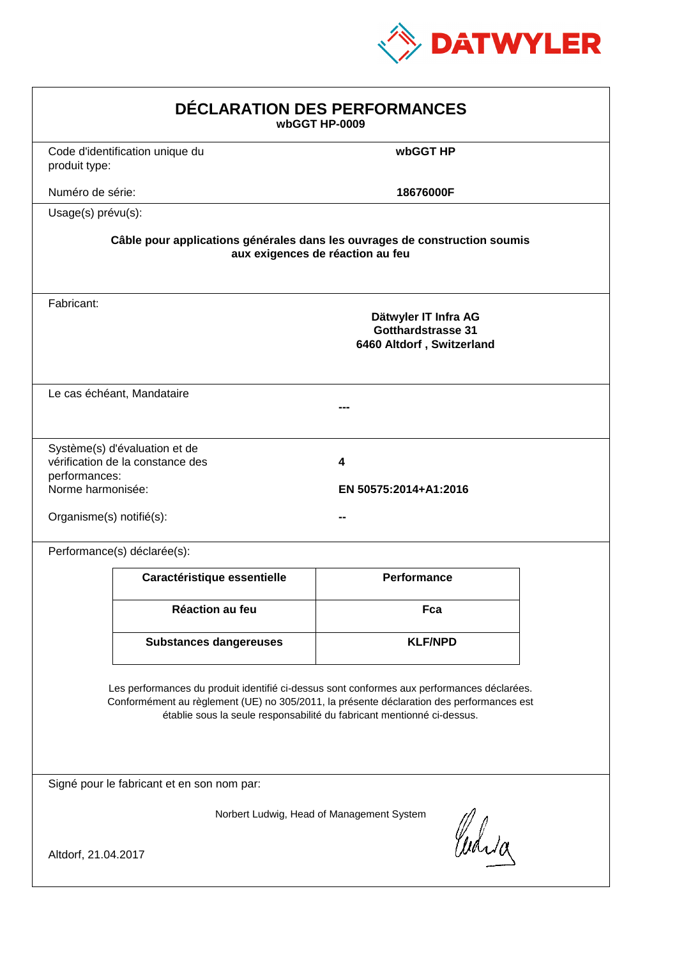

| DÉCLARATION DES PERFORMANCES<br>wbGGT HP-0009                  |                                                                   |                                                                                                                                                                                                                                                                  |  |
|----------------------------------------------------------------|-------------------------------------------------------------------|------------------------------------------------------------------------------------------------------------------------------------------------------------------------------------------------------------------------------------------------------------------|--|
| produit type:                                                  | Code d'identification unique du                                   | wbGGT HP                                                                                                                                                                                                                                                         |  |
| Numéro de série:                                               |                                                                   | 18676000F                                                                                                                                                                                                                                                        |  |
| Usage(s) prévu(s):                                             |                                                                   |                                                                                                                                                                                                                                                                  |  |
|                                                                |                                                                   | Câble pour applications générales dans les ouvrages de construction soumis<br>aux exigences de réaction au feu                                                                                                                                                   |  |
| Fabricant:                                                     |                                                                   | Dätwyler IT Infra AG<br><b>Gotthardstrasse 31</b><br>6460 Altdorf, Switzerland                                                                                                                                                                                   |  |
|                                                                | Le cas échéant, Mandataire                                        |                                                                                                                                                                                                                                                                  |  |
| performances:<br>Norme harmonisée:<br>Organisme(s) notifié(s): | Système(s) d'évaluation et de<br>vérification de la constance des | 4<br>EN 50575:2014+A1:2016                                                                                                                                                                                                                                       |  |
|                                                                | Performance(s) déclarée(s):                                       |                                                                                                                                                                                                                                                                  |  |
|                                                                | Caractéristique essentielle                                       | <b>Performance</b>                                                                                                                                                                                                                                               |  |
|                                                                | <b>Réaction au feu</b>                                            | Fca                                                                                                                                                                                                                                                              |  |
|                                                                | <b>Substances dangereuses</b>                                     | <b>KLF/NPD</b>                                                                                                                                                                                                                                                   |  |
|                                                                |                                                                   | Les performances du produit identifié ci-dessus sont conformes aux performances déclarées.<br>Conformément au règlement (UE) no 305/2011, la présente déclaration des performances est<br>établie sous la seule responsabilité du fabricant mentionné ci-dessus. |  |
|                                                                | Signé pour le fabricant et en son nom par:                        |                                                                                                                                                                                                                                                                  |  |
| Altdorf, 21.04.2017                                            |                                                                   | Norbert Ludwig, Head of Management System<br>Curia                                                                                                                                                                                                               |  |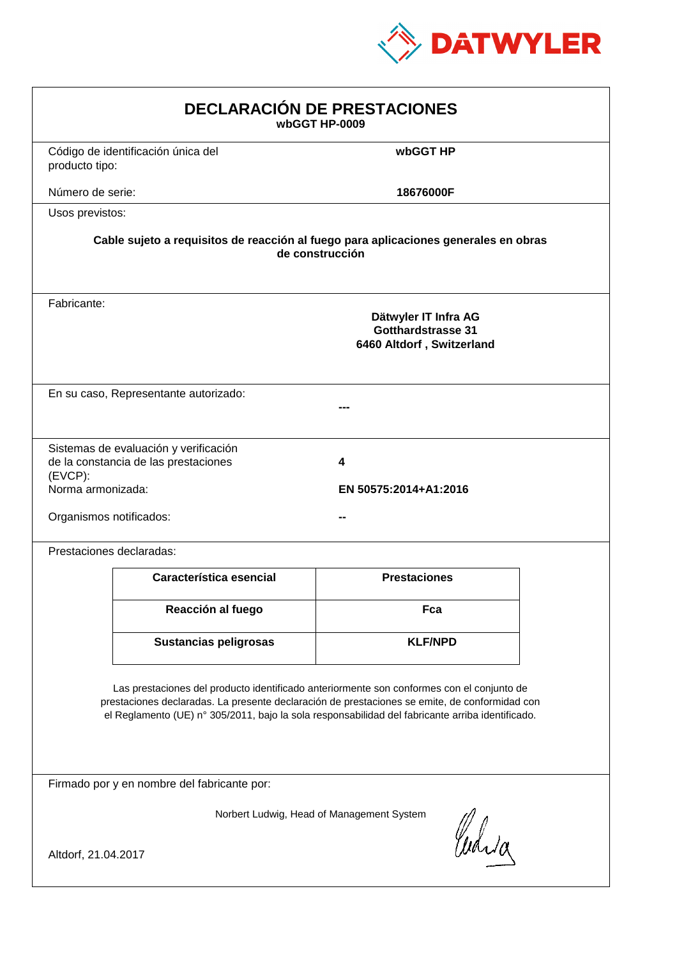

| <b>DECLARACIÓN DE PRESTACIONES</b><br>wbGGT HP-0009                                                                                                                                                                                                                                            |                                                                                                        |                            |  |  |  |
|------------------------------------------------------------------------------------------------------------------------------------------------------------------------------------------------------------------------------------------------------------------------------------------------|--------------------------------------------------------------------------------------------------------|----------------------------|--|--|--|
| producto tipo:                                                                                                                                                                                                                                                                                 | Código de identificación única del                                                                     | wbGGT HP                   |  |  |  |
| Número de serie:                                                                                                                                                                                                                                                                               |                                                                                                        | 18676000F                  |  |  |  |
| Usos previstos:                                                                                                                                                                                                                                                                                |                                                                                                        |                            |  |  |  |
|                                                                                                                                                                                                                                                                                                | Cable sujeto a requisitos de reacción al fuego para aplicaciones generales en obras<br>de construcción |                            |  |  |  |
| Fabricante:                                                                                                                                                                                                                                                                                    | Dätwyler IT Infra AG<br>Gotthardstrasse 31<br>6460 Altdorf, Switzerland                                |                            |  |  |  |
|                                                                                                                                                                                                                                                                                                | En su caso, Representante autorizado:                                                                  |                            |  |  |  |
| $(EVCP)$ :<br>Norma armonizada:<br>Organismos notificados:                                                                                                                                                                                                                                     | Sistemas de evaluación y verificación<br>de la constancia de las prestaciones                          | 4<br>EN 50575:2014+A1:2016 |  |  |  |
|                                                                                                                                                                                                                                                                                                | Prestaciones declaradas:                                                                               |                            |  |  |  |
|                                                                                                                                                                                                                                                                                                | Característica esencial                                                                                | <b>Prestaciones</b>        |  |  |  |
|                                                                                                                                                                                                                                                                                                | Reacción al fuego                                                                                      | Fca                        |  |  |  |
|                                                                                                                                                                                                                                                                                                | <b>Sustancias peligrosas</b>                                                                           | <b>KLF/NPD</b>             |  |  |  |
| Las prestaciones del producto identificado anteriormente son conformes con el conjunto de<br>prestaciones declaradas. La presente declaración de prestaciones se emite, de conformidad con<br>el Reglamento (UE) nº 305/2011, bajo la sola responsabilidad del fabricante arriba identificado. |                                                                                                        |                            |  |  |  |
| Firmado por y en nombre del fabricante por:                                                                                                                                                                                                                                                    |                                                                                                        |                            |  |  |  |
| Norbert Ludwig, Head of Management System<br>anda<br>Altdorf, 21.04.2017                                                                                                                                                                                                                       |                                                                                                        |                            |  |  |  |